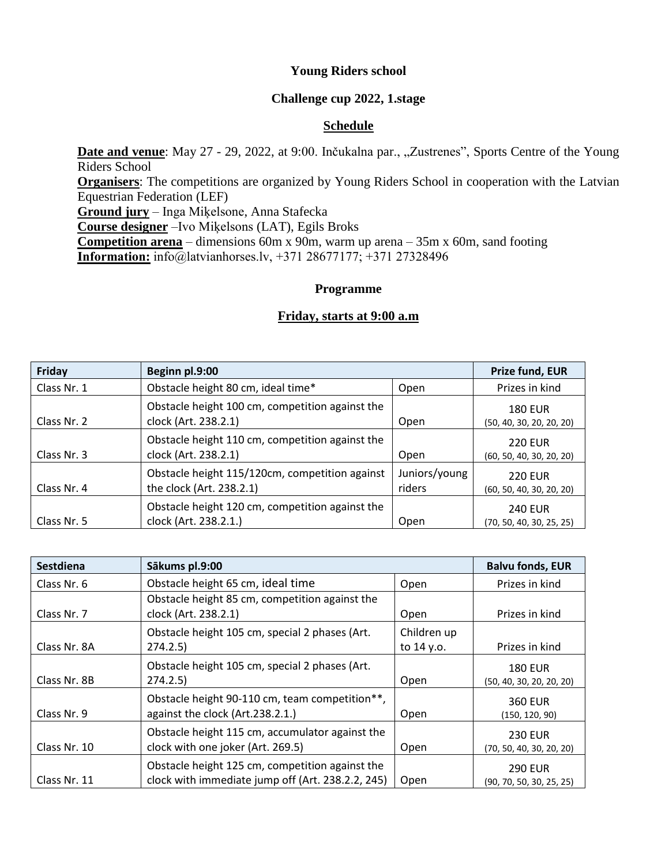## **Young Riders school**

## **Challenge cup 2022, 1.stage**

# **Schedule**

Date and venue: May 27 - 29, 2022, at 9:00. Inčukalna par., "Zustrenes", Sports Centre of the Young Riders School **Organisers**: The competitions are organized by Young Riders School in cooperation with the Latvian Equestrian Federation (LEF) **Ground jury** – Inga Miķelsone, Anna Stafecka **Course designer** –Ivo Miķelsons (LAT), Egils Broks **Competition arena** – dimensions 60m x 90m, warm up arena – 35m x 60m, sand footing **Information:** info@latvianhorses.lv, +371 28677177; +371 27328496

## **Programme**

## **Friday, starts at 9:00 a.m**

| Friday      | Beginn pl.9:00                                                             |                         | Prize fund, EUR                            |
|-------------|----------------------------------------------------------------------------|-------------------------|--------------------------------------------|
| Class Nr. 1 | Obstacle height 80 cm, ideal time*                                         | Open                    | Prizes in kind                             |
| Class Nr. 2 | Obstacle height 100 cm, competition against the<br>clock (Art. 238.2.1)    | Open                    | <b>180 EUR</b><br>(50, 40, 30, 20, 20, 20) |
| Class Nr. 3 | Obstacle height 110 cm, competition against the<br>clock (Art. 238.2.1)    | Open                    | <b>220 EUR</b><br>(60, 50, 40, 30, 20, 20) |
| Class Nr. 4 | Obstacle height 115/120cm, competition against<br>the clock (Art. 238.2.1) | Juniors/young<br>riders | <b>220 EUR</b><br>(60, 50, 40, 30, 20, 20) |
| Class Nr. 5 | Obstacle height 120 cm, competition against the<br>clock (Art. 238.2.1.)   | Open                    | <b>240 EUR</b><br>(70, 50, 40, 30, 25, 25) |

| <b>Sestdiena</b> | Sākums pl.9:00                                                                                       |                           | <b>Balvu fonds, EUR</b>                    |
|------------------|------------------------------------------------------------------------------------------------------|---------------------------|--------------------------------------------|
| Class Nr. 6      | Obstacle height 65 cm, ideal time                                                                    | Open                      | Prizes in kind                             |
| Class Nr. 7      | Obstacle height 85 cm, competition against the<br>clock (Art. 238.2.1)                               | Open                      | Prizes in kind                             |
| Class Nr. 8A     | Obstacle height 105 cm, special 2 phases (Art.<br>274.2.5                                            | Children up<br>to 14 y.o. | Prizes in kind                             |
| Class Nr. 8B     | Obstacle height 105 cm, special 2 phases (Art.<br>274.2.5                                            | Open                      | <b>180 EUR</b><br>(50, 40, 30, 20, 20, 20) |
| Class Nr. 9      | Obstacle height 90-110 cm, team competition**,<br>against the clock (Art.238.2.1.)                   | Open                      | <b>360 EUR</b><br>(150, 120, 90)           |
| Class Nr. 10     | Obstacle height 115 cm, accumulator against the<br>clock with one joker (Art. 269.5)                 | Open                      | <b>230 EUR</b><br>(70, 50, 40, 30, 20, 20) |
| Class Nr. 11     | Obstacle height 125 cm, competition against the<br>clock with immediate jump off (Art. 238.2.2, 245) | Open                      | <b>290 EUR</b><br>(90, 70, 50, 30, 25, 25) |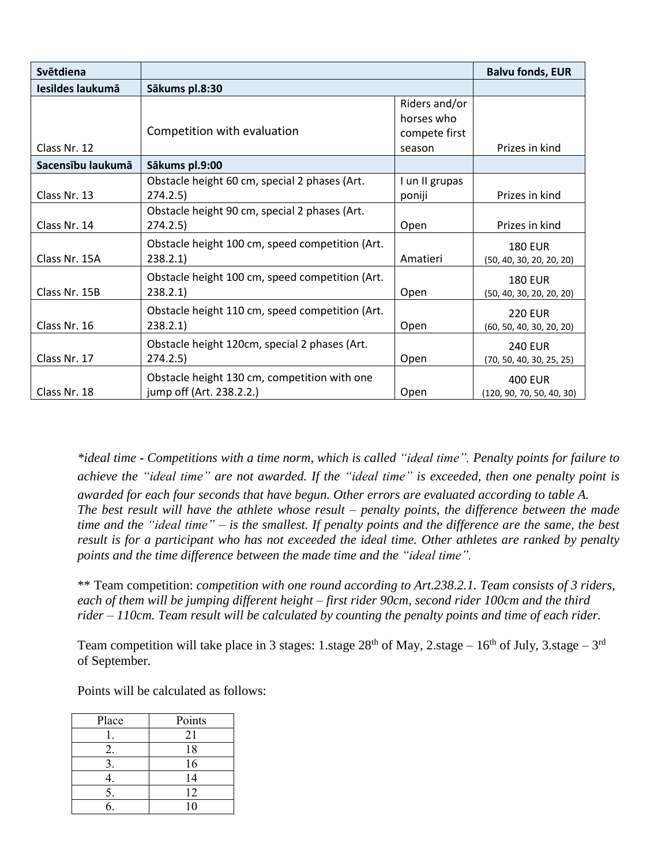| Svētdiena         |                                                                          |                                                        | <b>Balvu fonds, EUR</b>                     |
|-------------------|--------------------------------------------------------------------------|--------------------------------------------------------|---------------------------------------------|
| Iesildes laukumā  | Sākums pl.8:30                                                           |                                                        |                                             |
| Class Nr. 12      | Competition with evaluation                                              | Riders and/or<br>horses who<br>compete first<br>season | Prizes in kind                              |
| Sacensību laukumā | Sākums pl.9:00                                                           |                                                        |                                             |
| Class Nr. 13      | Obstacle height 60 cm, special 2 phases (Art.<br>274.2.5                 | I un II grupas<br>poniji                               | Prizes in kind                              |
| Class Nr. 14      | Obstacle height 90 cm, special 2 phases (Art.<br>274.2.5                 | Open                                                   | Prizes in kind                              |
| Class Nr. 15A     | Obstacle height 100 cm, speed competition (Art.<br>238.2.1               | Amatieri                                               | <b>180 EUR</b><br>(50, 40, 30, 20, 20, 20)  |
| Class Nr. 15B     | Obstacle height 100 cm, speed competition (Art.<br>238.2.1               | Open                                                   | <b>180 EUR</b><br>(50, 40, 30, 20, 20, 20)  |
| Class Nr. 16      | Obstacle height 110 cm, speed competition (Art.<br>238.2.1               | Open                                                   | <b>220 EUR</b><br>(60, 50, 40, 30, 20, 20)  |
| Class Nr. 17      | Obstacle height 120cm, special 2 phases (Art.<br>274.2.5                 | Open                                                   | <b>240 EUR</b><br>(70, 50, 40, 30, 25, 25)  |
| Class Nr. 18      | Obstacle height 130 cm, competition with one<br>jump off (Art. 238.2.2.) | Open                                                   | <b>400 EUR</b><br>(120, 90, 70, 50, 40, 30) |

*\*ideal time* **-** *Competitions with a time norm, which is called "ideal time". Penalty points for failure to* achieve the "ideal time" are not awarded. If the "ideal time" is exceeded, then one penalty point is *awarded for each four seconds that have begun. Other errors are evaluated according to table A. The best result will have the athlete whose result – penalty points, the difference between the made* time and the "ideal time"  $-$  is the smallest. If penalty points and the difference are the same, the best result is for a participant who has not exceeded the ideal time. Other athletes are ranked by penalty *points and the time difference between the made time and the "ideal time".*

\*\* Team competition: *competition with one round according to Art.238.2.1. Team consists of 3 riders, each of them will be jumping different height – first rider 90cm, second rider 100cm and the third rider – 110cm. Team result will be calculated by counting the penalty points and time of each rider.*

Team competition will take place in 3 stages: 1.stage  $28<sup>th</sup>$  of May, 2.stage – 16<sup>th</sup> of July, 3.stage – 3<sup>rd</sup> of September.

Points will be calculated as follows:

| Place | Points |
|-------|--------|
|       | 21     |
|       | 18     |
|       | 16     |
|       | 14     |
| 5.    | 12     |
|       | 10     |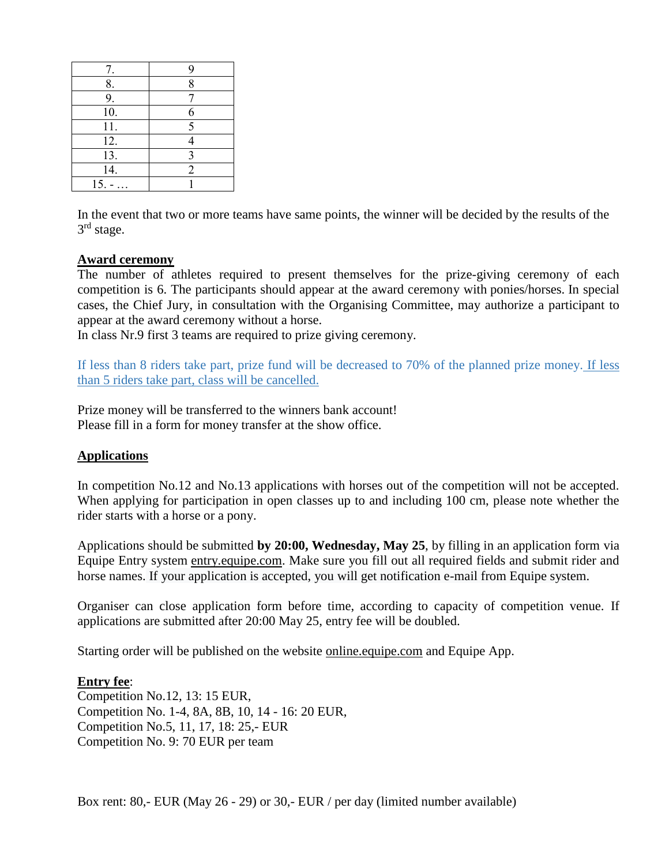| 7.        |   |
|-----------|---|
| 8.        | 8 |
| 9.        |   |
| 10.       | 6 |
| 11.       | 5 |
| 12.       |   |
| 13.       | 3 |
| 14.       | 2 |
| $15. - .$ |   |

In the event that two or more teams have same points, the winner will be decided by the results of the 3<sup>rd</sup> stage.

## **Award ceremony**

The number of athletes required to present themselves for the prize-giving ceremony of each competition is 6. The participants should appear at the award ceremony with ponies/horses. In special cases, the Chief Jury, in consultation with the Organising Committee, may authorize a participant to appear at the award ceremony without a horse.

In class Nr.9 first 3 teams are required to prize giving ceremony.

If less than 8 riders take part, prize fund will be decreased to 70% of the planned prize money. If less than 5 riders take part, class will be cancelled.

Prize money will be transferred to the winners bank account! Please fill in a form for money transfer at the show office.

#### **Applications**

In competition No.12 and No.13 applications with horses out of the competition will not be accepted. When applying for participation in open classes up to and including 100 cm, please note whether the rider starts with a horse or a pony.

Applications should be submitted **by 20:00, Wednesday, May 25**, by filling in an application form via Equipe Entry system [entry.equipe.com.](http://entry.equipe.com/) Make sure you fill out all required fields and submit rider and horse names. If your application is accepted, you will get notification e-mail from Equipe system.

Organiser can close application form before time, according to capacity of competition venue. If applications are submitted after 20:00 May 25, entry fee will be doubled.

Starting order will be published on the website [online.equipe.com](http://online.equipe.com/) and Equipe App.

#### **Entry fee**:

Competition No.12, 13: 15 EUR, Competition No. 1-4, 8A, 8B, 10, 14 - 16: 20 EUR, Competition No.5, 11, 17, 18: 25,- EUR Competition No. 9: 70 EUR per team